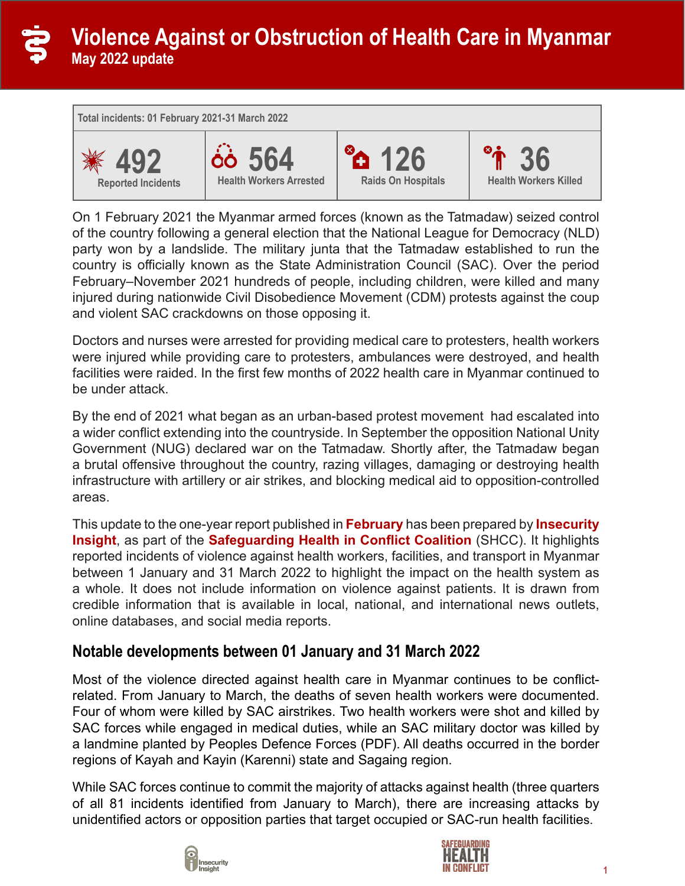



On 1 February 2021 the Myanmar armed forces (known as the Tatmadaw) seized control of the country following a general election that the National League for Democracy (NLD) party won by a landslide. The military junta that the Tatmadaw established to run the country is officially known as the State Administration Council (SAC). Over the period February–November 2021 hundreds of people, including children, were killed and many injured during nationwide Civil Disobedience Movement (CDM) protests against the coup and violent SAC crackdowns on those opposing it.

Doctors and nurses were arrested for providing medical care to protesters, health workers were injured while providing care to protesters, ambulances were destroyed, and health facilities were raided. In the first few months of 2022 health care in Myanmar continued to be under attack.

By the end of 2021 what began as an urban-based protest movement had escalated into a wider conflict extending into the countryside. In September the opposition National Unity Government (NUG) declared war on the Tatmadaw. Shortly after, the Tatmadaw began a brutal offensive throughout the country, razing villages, damaging or destroying health infrastructure with artillery or air strikes, and blocking medical aid to opposition-controlled areas.

This update to the one-year report published in **[February](https://shcc.pub/MyanmarHealthJan2022)** has been prepared by **[Insecurity](http://insecurityinsight.org)  [Insight](http://insecurityinsight.org)**, as part of the **[Safeguarding Health in Conflict Coalition](https://www.safeguardinghealth.org/)** (SHCC). It highlights reported incidents of violence against health workers, facilities, and transport in Myanmar between 1 January and 31 March 2022 to highlight the impact on the health system as a whole. It does not include information on violence against patients. It is drawn from credible information that is available in local, national, and international news outlets, online databases, and social media reports.

# **Notable developments between 01 January and 31 March 2022**

Most of the violence directed against health care in Myanmar continues to be conflictrelated. From January to March, the deaths of seven health workers were documented. Four of whom were killed by SAC airstrikes. Two health workers were shot and killed by SAC forces while engaged in medical duties, while an SAC military doctor was killed by a landmine planted by Peoples Defence Forces (PDF). All deaths occurred in the border regions of Kayah and Kayin (Karenni) state and Sagaing region.

While SAC forces continue to commit the majority of attacks against health (three quarters of all 81 incidents identified from January to March), there are increasing attacks by unidentified actors or opposition parties that target occupied or SAC-run health facilities.



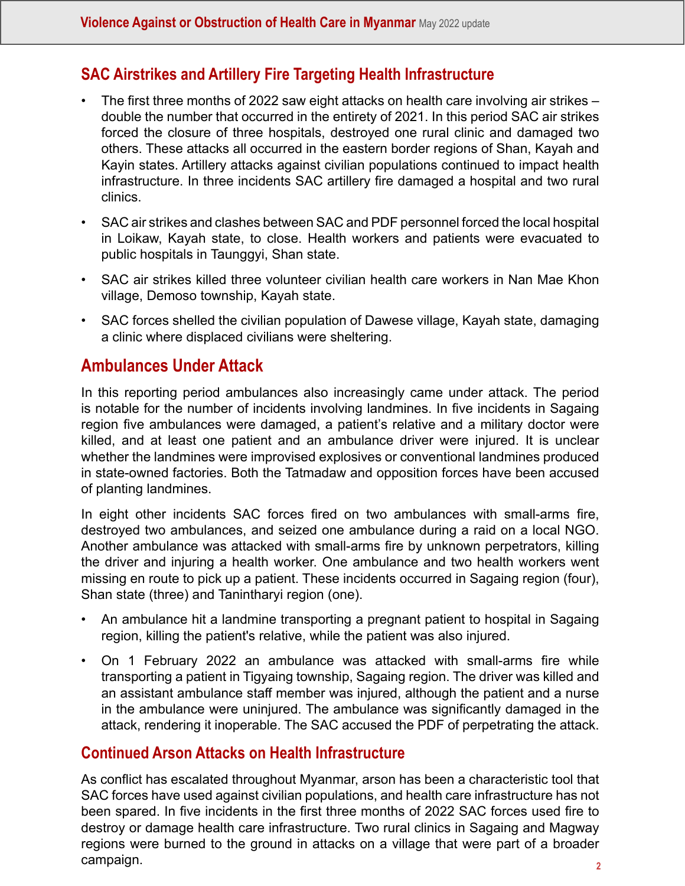## **SAC Airstrikes and Artillery Fire Targeting Health Infrastructure**

- The first three months of 2022 saw eight attacks on health care involving air strikes double the number that occurred in the entirety of 2021. In this period SAC air strikes forced the closure of three hospitals, destroyed one rural clinic and damaged two others. These attacks all occurred in the eastern border regions of Shan, Kayah and Kayin states. Artillery attacks against civilian populations continued to impact health infrastructure. In three incidents SAC artillery fire damaged a hospital and two rural clinics.
- SAC air strikes and clashes between SAC and PDF personnel forced the local hospital in Loikaw, Kayah state, to close. Health workers and patients were evacuated to public hospitals in Taunggyi, Shan state.
- SAC air strikes killed three volunteer civilian health care workers in Nan Mae Khon village, Demoso township, Kayah state.
- SAC forces shelled the civilian population of Dawese village, Kayah state, damaging a clinic where displaced civilians were sheltering.

# **Ambulances Under Attack**

In this reporting period ambulances also increasingly came under attack. The period is notable for the number of incidents involving landmines. In five incidents in Sagaing region five ambulances were damaged, a patient's relative and a military doctor were killed, and at least one patient and an ambulance driver were injured. It is unclear whether the landmines were improvised explosives or conventional landmines produced in state-owned factories. Both the Tatmadaw and opposition forces have been accused of planting landmines.

In eight other incidents SAC forces fired on two ambulances with small-arms fire, destroyed two ambulances, and seized one ambulance during a raid on a local NGO. Another ambulance was attacked with small-arms fire by unknown perpetrators, killing the driver and injuring a health worker. One ambulance and two health workers went missing en route to pick up a patient. These incidents occurred in Sagaing region (four), Shan state (three) and Tanintharyi region (one).

- An ambulance hit a landmine transporting a pregnant patient to hospital in Sagaing region, killing the patient's relative, while the patient was also injured.
- On 1 February 2022 an ambulance was attacked with small-arms fire while transporting a patient in Tigyaing township, Sagaing region. The driver was killed and an assistant ambulance staff member was injured, although the patient and a nurse in the ambulance were uninjured. The ambulance was significantly damaged in the attack, rendering it inoperable. The SAC accused the PDF of perpetrating the attack.

## **Continued Arson Attacks on Health Infrastructure**

As conflict has escalated throughout Myanmar, arson has been a characteristic tool that SAC forces have used against civilian populations, and health care infrastructure has not been spared. In five incidents in the first three months of 2022 SAC forces used fire to destroy or damage health care infrastructure. Two rural clinics in Sagaing and Magway regions were burned to the ground in attacks on a village that were part of a broader campaign.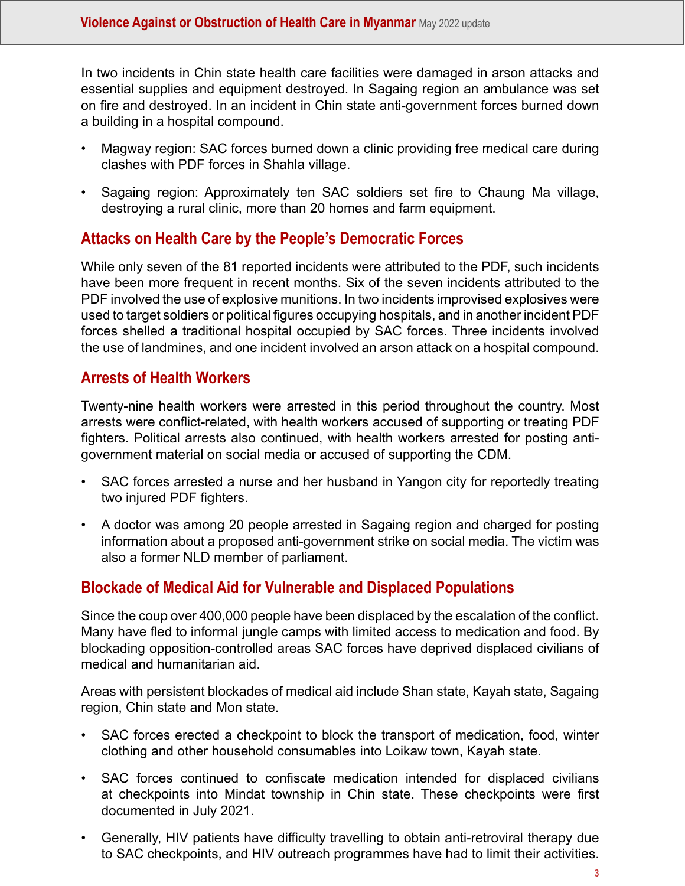In two incidents in Chin state health care facilities were damaged in arson attacks and essential supplies and equipment destroyed. In Sagaing region an ambulance was set on fire and destroyed. In an incident in Chin state anti-government forces burned down a building in a hospital compound.

- Magway region: SAC forces burned down a clinic providing free medical care during clashes with PDF forces in Shahla village.
- Sagaing region: Approximately ten SAC soldiers set fire to Chaung Ma village, destroying a rural clinic, more than 20 homes and farm equipment.

### **Attacks on Health Care by the People's Democratic Forces**

While only seven of the 81 reported incidents were attributed to the PDF, such incidents have been more frequent in recent months. Six of the seven incidents attributed to the PDF involved the use of explosive munitions. In two incidents improvised explosives were used to target soldiers or political figures occupying hospitals, and in another incident PDF forces shelled a traditional hospital occupied by SAC forces. Three incidents involved the use of landmines, and one incident involved an arson attack on a hospital compound.

#### **Arrests of Health Workers**

Twenty-nine health workers were arrested in this period throughout the country. Most arrests were conflict-related, with health workers accused of supporting or treating PDF fighters. Political arrests also continued, with health workers arrested for posting antigovernment material on social media or accused of supporting the CDM.

- SAC forces arrested a nurse and her husband in Yangon city for reportedly treating two injured PDF fighters.
- A doctor was among 20 people arrested in Sagaing region and charged for posting information about a proposed anti-government strike on social media. The victim was also a former NLD member of parliament.

### **Blockade of Medical Aid for Vulnerable and Displaced Populations**

Since the coup over 400,000 people have been displaced by the escalation of the conflict. Many have fled to informal jungle camps with limited access to medication and food. By blockading opposition-controlled areas SAC forces have deprived displaced civilians of medical and humanitarian aid.

Areas with persistent blockades of medical aid include Shan state, Kayah state, Sagaing region, Chin state and Mon state.

- SAC forces erected a checkpoint to block the transport of medication, food, winter clothing and other household consumables into Loikaw town, Kayah state.
- SAC forces continued to confiscate medication intended for displaced civilians at checkpoints into Mindat township in Chin state. These checkpoints were first documented in July 2021.
- Generally, HIV patients have difficulty travelling to obtain anti-retroviral therapy due to SAC checkpoints, and HIV outreach programmes have had to limit their activities.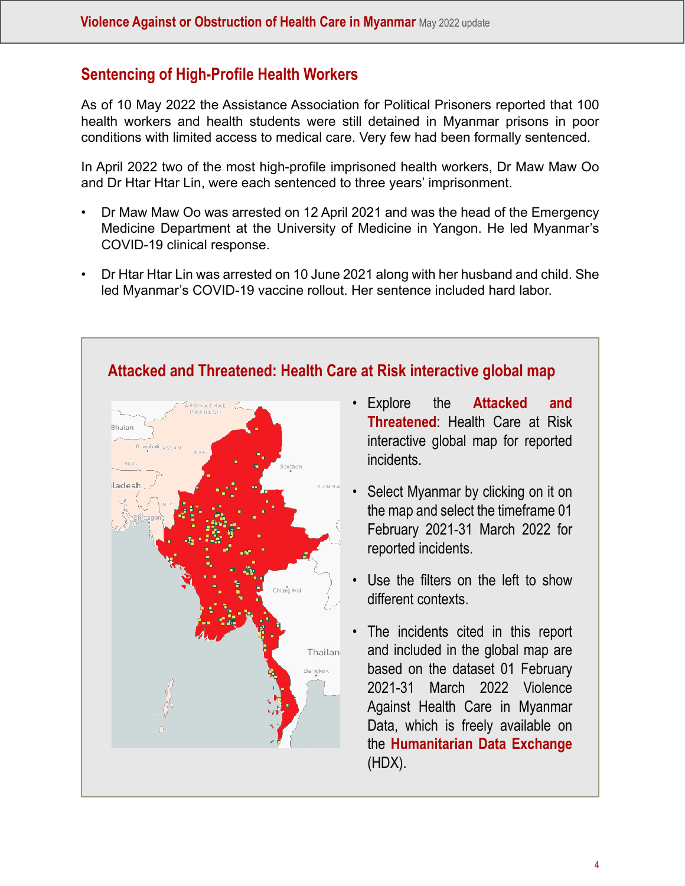## **Sentencing of High-Profile Health Workers**

As of 10 May 2022 the Assistance Association for Political Prisoners reported that 100 health workers and health students were still detained in Myanmar prisons in poor conditions with limited access to medical care. Very few had been formally sentenced.

In April 2022 two of the most high-profile imprisoned health workers, Dr Maw Maw Oo and Dr Htar Htar Lin, were each sentenced to three years' imprisonment.

- Dr Maw Maw Oo was arrested on 12 April 2021 and was the head of the Emergency Medicine Department at the University of Medicine in Yangon. He led Myanmar's COVID-19 clinical response.
- Dr Htar Htar Lin was arrested on 10 June 2021 along with her husband and child. She led Myanmar's COVID-19 vaccine rollout. Her sentence included hard labor.